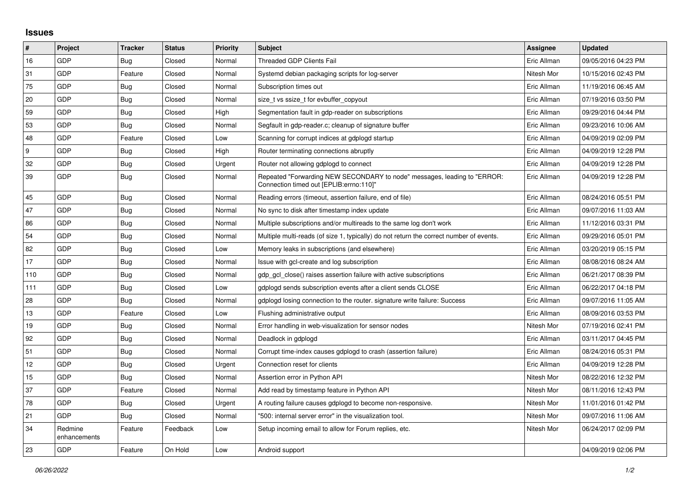## **Issues**

| #   | Project                 | <b>Tracker</b> | <b>Status</b> | Priority | <b>Subject</b>                                                                                                      | <b>Assignee</b> | <b>Updated</b>      |
|-----|-------------------------|----------------|---------------|----------|---------------------------------------------------------------------------------------------------------------------|-----------------|---------------------|
| 16  | GDP                     | Bug            | Closed        | Normal   | Threaded GDP Clients Fail                                                                                           | Eric Allman     | 09/05/2016 04:23 PM |
| 31  | GDP                     | Feature        | Closed        | Normal   | Systemd debian packaging scripts for log-server                                                                     | Nitesh Mor      | 10/15/2016 02:43 PM |
| 75  | GDP                     | Bug            | Closed        | Normal   | Subscription times out                                                                                              | Eric Allman     | 11/19/2016 06:45 AM |
| 20  | GDP                     | Bug            | Closed        | Normal   | size t vs ssize t for evbuffer copyout                                                                              | Eric Allman     | 07/19/2016 03:50 PM |
| 59  | GDP                     | Bug            | Closed        | High     | Segmentation fault in gdp-reader on subscriptions                                                                   | Eric Allman     | 09/29/2016 04:44 PM |
| 53  | GDP                     | Bug            | Closed        | Normal   | Segfault in gdp-reader.c; cleanup of signature buffer                                                               | Eric Allman     | 09/23/2016 10:06 AM |
| 48  | GDP                     | Feature        | Closed        | Low      | Scanning for corrupt indices at gdplogd startup                                                                     | Eric Allman     | 04/09/2019 02:09 PM |
| l 9 | GDP                     | <b>Bug</b>     | Closed        | High     | Router terminating connections abruptly                                                                             | Eric Allman     | 04/09/2019 12:28 PM |
| 32  | GDP                     | <b>Bug</b>     | Closed        | Urgent   | Router not allowing gdplogd to connect                                                                              | Eric Allman     | 04/09/2019 12:28 PM |
| 39  | GDP                     | Bug            | Closed        | Normal   | Repeated "Forwarding NEW SECONDARY to node" messages, leading to "ERROR:<br>Connection timed out [EPLIB:errno:110]" | Eric Allman     | 04/09/2019 12:28 PM |
| 45  | GDP                     | <b>Bug</b>     | Closed        | Normal   | Reading errors (timeout, assertion failure, end of file)                                                            | Eric Allman     | 08/24/2016 05:51 PM |
| 47  | GDP                     | Bug            | Closed        | Normal   | No sync to disk after timestamp index update                                                                        | Eric Allman     | 09/07/2016 11:03 AM |
| 86  | GDP                     | <b>Bug</b>     | Closed        | Normal   | Multiple subscriptions and/or multireads to the same log don't work                                                 | Eric Allman     | 11/12/2016 03:31 PM |
| 54  | GDP                     | <b>Bug</b>     | Closed        | Normal   | Multiple multi-reads (of size 1, typically) do not return the correct number of events.                             | Eric Allman     | 09/29/2016 05:01 PM |
| 82  | GDP                     | Bug            | Closed        | Low      | Memory leaks in subscriptions (and elsewhere)                                                                       | Eric Allman     | 03/20/2019 05:15 PM |
| 17  | GDP                     | <b>Bug</b>     | Closed        | Normal   | Issue with gcl-create and log subscription                                                                          | Eric Allman     | 08/08/2016 08:24 AM |
| 110 | GDP                     | <b>Bug</b>     | Closed        | Normal   | gdp gcl close() raises assertion failure with active subscriptions                                                  | Eric Allman     | 06/21/2017 08:39 PM |
| 111 | GDP                     | Bug            | Closed        | Low      | gdplogd sends subscription events after a client sends CLOSE                                                        | Eric Allman     | 06/22/2017 04:18 PM |
| 28  | GDP                     | Bug            | Closed        | Normal   | gdplogd losing connection to the router, signature write failure: Success                                           | Eric Allman     | 09/07/2016 11:05 AM |
| 13  | GDP                     | Feature        | Closed        | Low      | Flushing administrative output                                                                                      | Eric Allman     | 08/09/2016 03:53 PM |
| 19  | GDP                     | <b>Bug</b>     | Closed        | Normal   | Error handling in web-visualization for sensor nodes                                                                | Nitesh Mor      | 07/19/2016 02:41 PM |
| 92  | GDP                     | Bug            | Closed        | Normal   | Deadlock in gdplogd                                                                                                 | Eric Allman     | 03/11/2017 04:45 PM |
| 51  | GDP                     | Bug            | Closed        | Normal   | Corrupt time-index causes gdplogd to crash (assertion failure)                                                      | Eric Allman     | 08/24/2016 05:31 PM |
| 12  | GDP                     | <b>Bug</b>     | Closed        | Urgent   | Connection reset for clients                                                                                        | Eric Allman     | 04/09/2019 12:28 PM |
| 15  | GDP                     | <b>Bug</b>     | Closed        | Normal   | Assertion error in Python API                                                                                       | Nitesh Mor      | 08/22/2016 12:32 PM |
| 37  | GDP                     | Feature        | Closed        | Normal   | Add read by timestamp feature in Python API                                                                         | Nitesh Mor      | 08/11/2016 12:43 PM |
| 78  | GDP                     | Bug            | Closed        | Urgent   | A routing failure causes gdplogd to become non-responsive.                                                          | Nitesh Mor      | 11/01/2016 01:42 PM |
| 21  | GDP                     | <b>Bug</b>     | Closed        | Normal   | '500: internal server error" in the visualization tool.                                                             | Nitesh Mor      | 09/07/2016 11:06 AM |
| 34  | Redmine<br>enhancements | Feature        | Feedback      | Low      | Setup incoming email to allow for Forum replies, etc.                                                               | Nitesh Mor      | 06/24/2017 02:09 PM |
| 23  | GDP                     | Feature        | On Hold       | Low      | Android support                                                                                                     |                 | 04/09/2019 02:06 PM |